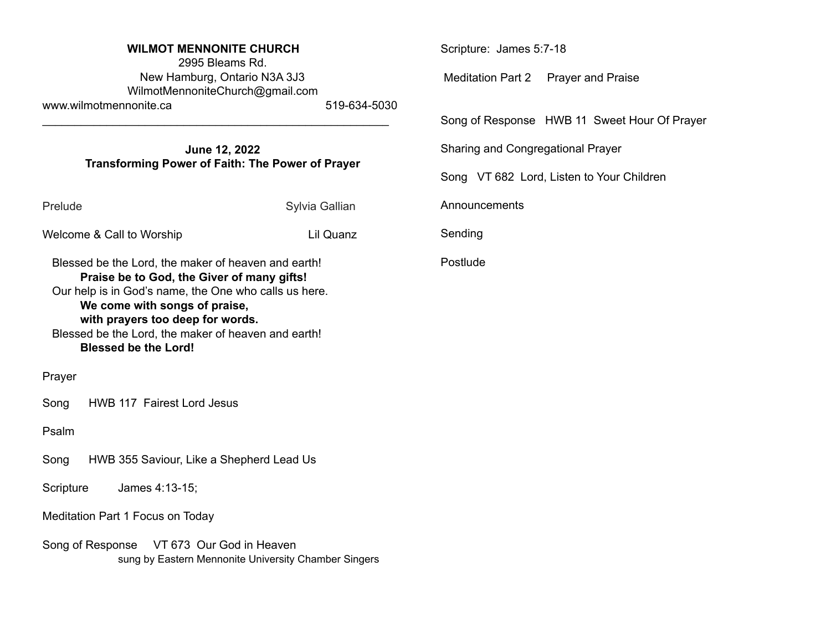| <b>WILMOT MENNONITE CHURCH</b><br>2995 Bleams Rd.                                                                                                                                                                                                                                                                     |                | Scripture: James 5:7-18                      |
|-----------------------------------------------------------------------------------------------------------------------------------------------------------------------------------------------------------------------------------------------------------------------------------------------------------------------|----------------|----------------------------------------------|
| New Hamburg, Ontario N3A 3J3<br>WilmotMennoniteChurch@gmail.com<br>www.wilmotmennonite.ca                                                                                                                                                                                                                             | 519-634-5030   | Meditation Part 2 Prayer and Praise          |
|                                                                                                                                                                                                                                                                                                                       |                | Song of Response HWB 11 Sweet Hour Of Prayer |
| June 12, 2022<br>Transforming Power of Faith: The Power of Prayer                                                                                                                                                                                                                                                     |                | Sharing and Congregational Prayer            |
|                                                                                                                                                                                                                                                                                                                       |                | Song VT 682 Lord, Listen to Your Children    |
| Prelude                                                                                                                                                                                                                                                                                                               | Sylvia Gallian | Announcements                                |
| Welcome & Call to Worship                                                                                                                                                                                                                                                                                             | Lil Quanz      | Sending                                      |
| Blessed be the Lord, the maker of heaven and earth!<br>Praise be to God, the Giver of many gifts!<br>Our help is in God's name, the One who calls us here.<br>We come with songs of praise,<br>with prayers too deep for words.<br>Blessed be the Lord, the maker of heaven and earth!<br><b>Blessed be the Lord!</b> |                | Postlude                                     |
| Prayer                                                                                                                                                                                                                                                                                                                |                |                                              |
| HWB 117 Fairest Lord Jesus<br>Song                                                                                                                                                                                                                                                                                    |                |                                              |
| Psalm                                                                                                                                                                                                                                                                                                                 |                |                                              |
| HWB 355 Saviour, Like a Shepherd Lead Us<br>Song                                                                                                                                                                                                                                                                      |                |                                              |
| Scripture<br>James 4:13-15;                                                                                                                                                                                                                                                                                           |                |                                              |
| Meditation Part 1 Focus on Today                                                                                                                                                                                                                                                                                      |                |                                              |
| Song of Response VT 673 Our God in Heaven<br>sung by Eastern Mennonite University Chamber Singers                                                                                                                                                                                                                     |                |                                              |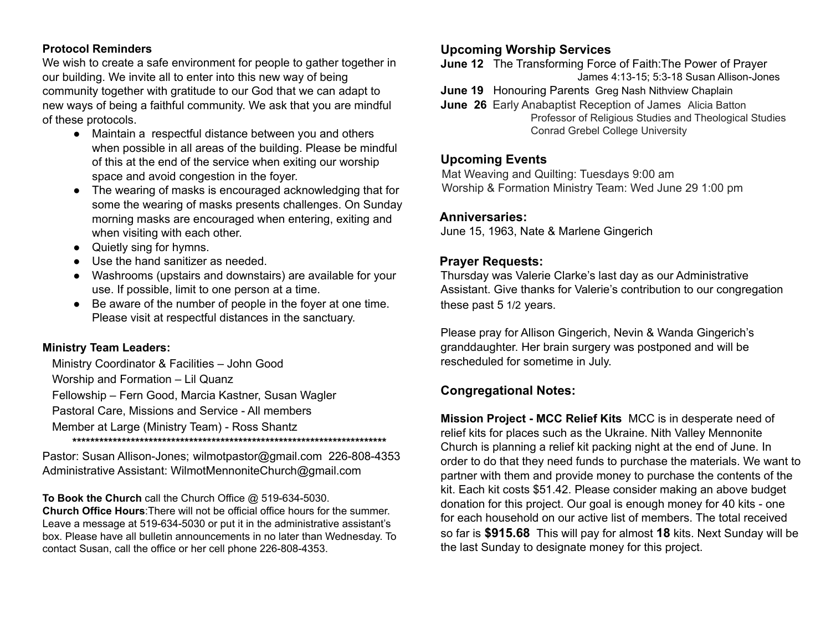#### **Protocol Reminders**

We wish to create a safe environment for people to gather together in our building. We invite all to enter into this new way of being community together with gratitude to our God that we can adapt to new ways of being a faithful community. We ask that you are mindful of these protocols.

- Maintain a respectful distance between you and others when possible in all areas of the building. Please be mindful of this at the end of the service when exiting our worship space and avoid congestion in the foyer.
- The wearing of masks is encouraged acknowledging that for some the wearing of masks presents challenges. On Sunday morning masks are encouraged when entering, exiting and when visiting with each other.
- Quietly sing for hymns.
- Use the hand sanitizer as needed.
- Washrooms (upstairs and downstairs) are available for your use. If possible, limit to one person at a time.
- Be aware of the number of people in the foyer at one time. Please visit at respectful distances in the sanctuary.

### **Ministry Team Leaders:**

Ministry Coordinator & Facilities – John Good Worship and Formation – Lil Quanz Fellowship – Fern Good, Marcia Kastner, Susan Wagler Pastoral Care, Missions and Service - All members Member at Large (Ministry Team) - Ross Shantz **\*\*\*\*\*\*\*\*\*\*\*\*\*\*\*\*\*\*\*\*\*\*\*\*\*\*\*\*\*\*\*\*\*\*\*\*\*\*\*\*\*\*\*\*\*\*\*\*\*\*\*\*\*\*\*\*\*\*\*\*\*\*\*\*\*\*\*\*\*\***

Pastor: Susan Allison-Jones; [wilmotpastor@gmail.com](mailto:wilmotpastor@gmail.com) 226-808-4353 Administrative Assistant: WilmotMennoniteChurch@gmail.com

**To Book the Church** call the Church Office @ 519-634-5030. **Church Office Hours**:There will not be official office hours for the summer. Leave a message at 519-634-5030 or put it in the administrative assistant's box. Please have all bulletin announcements in no later than Wednesday. To contact Susan, call the office or her cell phone 226-808-4353.

# **Upcoming Worship Services**

- **June 12** The Transforming Force of Faith:The Power of Prayer James 4:13-15; 5:3-18 Susan Allison-Jones
- **June 19** Honouring Parents Greg Nash Nithview Chaplain
- **June 26** Early Anabaptist Reception of James Alicia Batton Professor of Religious Studies and Theological Studies Conrad Grebel College University

### **Upcoming Events**

Mat Weaving and Quilting: Tuesdays 9:00 am Worship & Formation Ministry Team: Wed June 29 1:00 pm

### **Anniversaries:**

June 15, 1963, Nate & Marlene Gingerich

## **Prayer Requests:**

Thursday was Valerie Clarke's last day as our Administrative Assistant. Give thanks for Valerie's contribution to our congregation these past 5 1/2 years.

Please pray for Allison Gingerich, Nevin & Wanda Gingerich's granddaughter. Her brain surgery was postponed and will be rescheduled for sometime in July.

# **Congregational Notes:**

**Mission Project - MCC Relief Kits** MCC is in desperate need of relief kits for places such as the Ukraine. Nith Valley Mennonite Church is planning a relief kit packing night at the end of June. In order to do that they need funds to purchase the materials. We want to partner with them and provide money to purchase the contents of the kit. Each kit costs \$51.42. Please consider making an above budget donation for this project. Our goal is enough money for 40 kits - one for each household on our active list of members. The total received so far is **\$915.68** This will pay for almost **18** kits. Next Sunday will be the last Sunday to designate money for this project.